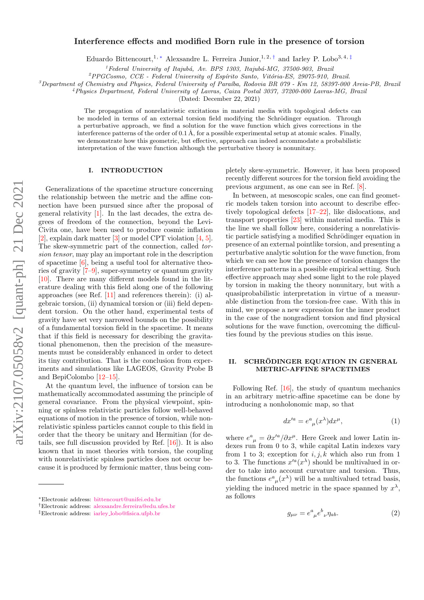# arXiv:2107.05058v2 [quant-ph] 21 Dec 2021 arXiv:2107.05058v2 [quant-ph] 21 Dec 2021

# Interference effects and modified Born rule in the presence of torsion

Eduardo Bittencourt,<sup>1, \*</sup> Alexsandre L. Ferreira Junior,<sup>1,2,[†](#page-0-1)</sup> and Iarley P. Lobo<sup>3,4,[‡](#page-0-2)</sup>

<sup>1</sup> Federal University of Itajubá, Av. BPS 1303, Itajubá-MG, 37500-903, Brazil

 $^{2}PPGCosmo$ ,  $CCE$  - Federal University of Espírito Santo, Vitória-ES, 29075-910, Brazil.

 $3$ Department of Chemistry and Physics, Federal University of Paraíba, Rodovia BR 079 - Km 12, 58397-000 Areia-PB, Brazil

<sup>4</sup>Physics Department, Federal University of Lavras, Caixa Postal 3037, 37200-000 Lavras-MG, Brazil

(Dated: December 22, 2021)

The propagation of nonrelativistic excitations in material media with topological defects can be modeled in terms of an external torsion field modifying the Schrödinger equation. Through a perturbative approach, we find a solution for the wave function which gives corrections in the interference patterns of the order of  $0.1 \text{ Å}$ , for a possible experimental setup at atomic scales. Finally, we demonstrate how this geometric, but effective, approach can indeed accommodate a probabilistic interpretation of the wave function although the perturbative theory is nonunitary.

# I. INTRODUCTION

Generalizations of the spacetime structure concerning the relationship between the metric and the affine connection have been pursued since after the proposal of general relativity [\[1\]](#page-7-0). In the last decades, the extra degrees of freedom of the connection, beyond the Levi-Civita one, have been used to produce cosmic inflation [\[2\]](#page-7-1), explain dark matter [\[3\]](#page-7-2) or model CPT violation [\[4,](#page-7-3) [5\]](#page-7-4). The skew-symmetric part of the connection, called torsion tensor, may play an important role in the description of spacetime [\[6\]](#page-7-5), being a useful tool for alternative theories of gravity [\[7–](#page-7-6)[9\]](#page-7-7), super-symmetry or quantum gravity [\[10\]](#page-7-8). There are many different models found in the literature dealing with this field along one of the following approaches (see Ref. [\[11\]](#page-7-9) and references therein): (i) algebraic torsion, (ii) dynamical torsion or (iii) field dependent torsion. On the other hand, experimental tests of gravity have set very narrowed bounds on the possibility of a fundamental torsion field in the spacetime. It means that if this field is necessary for describing the gravitational phenomenon, then the precision of the measurements must be considerably enhanced in order to detect its tiny contribution. That is the conclusion from experiments and simulations like LAGEOS, Gravity Probe B and BepiColombo [\[12–](#page-7-10)[15\]](#page-7-11).

At the quantum level, the influence of torsion can be mathematically accommodated assuming the principle of general covariance. From the physical viewpoint, spinning or spinless relativistic particles follow well-behaved equations of motion in the presence of torsion, while nonrelativistic spinless particles cannot couple to this field in order that the theory be unitary and Hermitian (for details, see full discussion provided by Ref. [\[16\]](#page-7-12)). It is also known that in most theories with torsion, the coupling with nonrelativistic spinless particles does not occur because it is produced by fermionic matter, thus being completely skew-symmetric. However, it has been proposed recently different sources for the torsion field avoiding the previous argument, as one can see in Ref. [\[8\]](#page-7-13).

In between, at mesoscopic scales, one can find geometric models taken torsion into account to describe effectively topological defects [\[17–](#page-7-14)[22\]](#page-7-15), like dislocations, and transport properties [\[23\]](#page-7-16) within material media. This is the line we shall follow here, considering a nonrelativistic particle satisfying a modified Schrödinger equation in presence of an external pointlike torsion, and presenting a perturbative analytic solution for the wave function, from which we can see how the presence of torsion changes the interference patterns in a possible empirical setting. Such effective approach may shed some light to the role played by torsion in making the theory nonunitary, but with a quasiprobabilistic interpretation in virtue of a measurable distinction from the torsion-free case. With this in mind, we propose a new expression for the inner product in the case of the nongradient torsion and find physical solutions for the wave function, overcoming the difficulties found by the previous studies on this issue.

# II. SCHRÖDINGER EQUATION IN GENERAL METRIC-AFFINE SPACETIMES

Following Ref. [\[16\]](#page-7-12), the study of quantum mechanics in an arbitrary metric-affine spacetime can be done by introducing a nonholonomic map, so that

$$
dx^{\prime a} = e^{a}_{\mu}(x^{\lambda})dx^{\mu}, \qquad (1)
$$

where  $e^a{}_\mu = \partial x'^a / \partial x^\mu$ . Here Greek and lower Latin indexes run from 0 to 3, while capital Latin indexes vary from 1 to 3; exception for  $i, j, k$  which also run from 1 to 3. The functions  $x'^a(x^{\lambda})$  should be multivalued in order to take into account curvature and torsion. Thus, the functions  $e^a_{\mu}(x^{\lambda})$  will be a multivalued tetrad basis, yielding the induced metric in the space spanned by  $x^{\lambda}$ , as follows

<span id="page-0-3"></span>
$$
g_{\mu\nu} = e^a{}_\mu e^b{}_\nu \eta_{ab}.\tag{2}
$$

<span id="page-0-0"></span><sup>∗</sup>Electronic address: [bittencourt@unifei.edu.br](mailto:bittencourt@unifei.edu.br)

<span id="page-0-1"></span><sup>†</sup>Electronic address: [alexsandre.ferreira@edu.ufes.br](mailto:alexsandre.ferreira@edu.ufes.br)

<span id="page-0-2"></span><sup>‡</sup>Electronic address: iarley [lobo@fisica.ufpb.br](mailto:iarley_lobo@fisica.ufpb.br)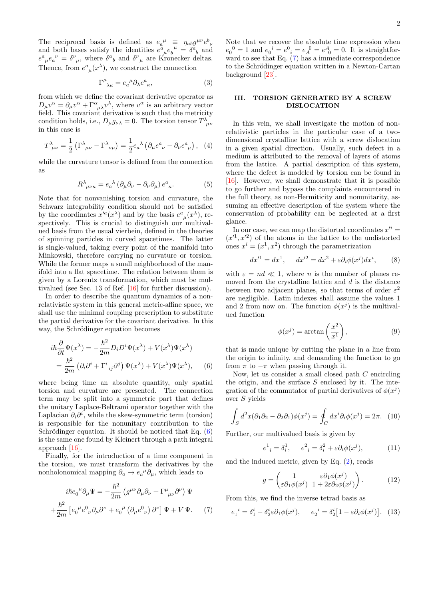The reciprocal basis is defined as  $e_a^{\mu} \equiv \eta_{ab} g^{\mu\nu} e^b_{\nu}$ <br>and both bases satisfy the identities  $e^a_{\mu} e_b^{\mu} = \delta^a_{\ b}$  and  $e^{a}_{\mu}e_{a}^{\nu} = \delta^{\nu}_{\mu}$ , where  $\delta^{a}{}_{b}$  and  $\delta^{\nu}_{\mu}$  are Kronecker deltas. Thence, from  $e^a_{\mu}(x^{\lambda})$ , we construct the connection

$$
\Gamma^{\mu}_{\ \lambda\kappa} = e_{a}^{\ \mu} \partial_{\lambda} e^{a}_{\ \kappa},\tag{3}
$$

from which we define the covariant derivative operator as  $D_{\mu}v^{\alpha} = \partial_{\mu}v^{\alpha} + \Gamma^{\alpha}{}_{\mu\lambda}v^{\lambda}$ , where  $v^{\alpha}$  is an arbitrary vector field. This covariant derivative is such that the metricity condition holds, i.e.,  $D_{\mu}g_{\nu\lambda} = 0$ . The torsion tensor  $T^{\lambda}_{\mu\nu}$ in this case is

$$
T^{\lambda}_{\ \mu\nu} = \frac{1}{2} \left( \Gamma^{\lambda}_{\ \mu\nu} - \Gamma^{\lambda}_{\ \nu\mu} \right) = \frac{1}{2} e_a^{\ \lambda} \left( \partial_\mu e^a_{\ \nu} - \partial_\nu e^a_{\ \mu} \right), \tag{4}
$$

while the curvature tensor is defined from the connection as

$$
R^{\lambda}_{\ \mu\nu\kappa} = e_a^{\ \lambda} \left( \partial_{\mu} \partial_{\nu} - \partial_{\nu} \partial_{\mu} \right) e^a_{\ \kappa}.\tag{5}
$$

Note that for nonvanishing torsion and curvature, the Schwarz integrability condition should not be satisfied by the coordinates  $x'^a(x^{\lambda})$  and by the basis  $e^a{}_{\mu}(x^{\lambda})$ , respectively. This is crucial to distinguish our multivalued basis from the usual vierbein, defined in the theories of spinning particles in curved spacetimes. The latter is single-valued, taking every point of the manifold into Minkowski, therefore carrying no curvature or torsion. While the former maps a small neighborhood of the manifold into a flat spacetime. The relation between them is given by a Lorentz transformation, which must be multivalued (see Sec. 13 of Ref. [\[16\]](#page-7-12) for further discussion).

In order to describe the quantum dynamics of a nonrelativistic system in this general metric-affine space, we shall use the minimal coupling prescription to substitute the partial derivative for the covariant derivative. In this way, the Schrödinger equation becomes

<span id="page-1-0"></span>
$$
i\hbar \frac{\partial}{\partial t} \Psi(x^{\lambda}) = -\frac{\hbar^2}{2m} D_i D^i \Psi(x^{\lambda}) + V(x^{\lambda}) \Psi(x^{\lambda})
$$
  
= 
$$
\frac{\hbar^2}{2m} (\partial_i \partial^i + \Gamma^i{}_{ij} \partial^j) \Psi(x^{\lambda}) + V(x^{\lambda}) \Psi(x^{\lambda}), \quad (6)
$$

where being time an absolute quantity, only spatial torsion and curvature are presented. The connection term may be split into a symmetric part that defines the unitary Laplace-Beltrami operator together with the Laplacian  $\partial_i \partial^i$ , while the skew-symmetric term (torsion) is responsible for the nonunitary contribution to the Schrödinger equation. It should be noticed that Eq.  $(6)$ is the same one found by Kleinert through a path integral approach [\[16\]](#page-7-12).

Finally, for the introduction of a time component in the torsion, we must transform the derivatives by the nonholonomical mapping  $\partial_a \to e_a^{\mu} \partial_{\mu}$ , which leads to

<span id="page-1-1"></span>
$$
i\hbar e_0^{\mu} \partial_{\mu} \Psi = -\frac{\hbar^2}{2m} \left( g^{\mu \nu} \partial_{\mu} \partial_{\nu} + \Gamma^{\mu}_{\mu \nu} \partial^{\nu} \right) \Psi
$$

$$
+ \frac{\hbar^2}{2m} \left[ e_0^{\mu} e^0_{\nu} \partial_{\mu} \partial^{\nu} + e_0^{\mu} \left( \partial_{\mu} e^0_{\nu} \right) \partial^{\nu} \right] \Psi + V \Psi. \tag{7}
$$

Note that we recover the absolute time expression when  $e_0^0 = 1$  and  $e_0^i = e_1^0 = e_A^0 = e_A^A = 0$ . It is straightforward to see that Eq. [\(7\)](#page-1-1) has a immediate correspondence to the Schrödinger equation written in a Newton-Cartan background [\[23\]](#page-7-16).

# III. TORSION GENERATED BY A SCREW DISLOCATION

In this vein, we shall investigate the motion of nonrelativistic particles in the particular case of a twodimensional crystalline lattice with a screw dislocation in a given spatial direction. Usually, such defect in a medium is attributed to the removal of layers of atoms from the lattice. A partial description of this system, where the defect is modeled by torsion can be found in [\[16\]](#page-7-12). However, we shall demonstrate that it is possible to go further and bypass the complaints encountered in the full theory, as non-Hermiticity and nonunitarity, assuming an effective description of the system where the conservation of probability can be neglected at a first glance.

In our case, we can map the distorted coordinates  $x^{\prime i} =$  $(x^{\prime 1}, x^{\prime 2})$  of the atoms in the lattice to the undistorted ones  $x^i = (x^1, x^2)$  through the parametrization

$$
dx'^{1} = dx^{1}, \quad dx'^{2} = dx^{2} + \varepsilon \partial_{i} \phi(x^{j}) dx^{i}, \quad (8)
$$

with  $\varepsilon = nd \ll 1$ , where *n* is the number of planes removed from the crystalline lattice and  $d$  is the distance between two adjacent planes, so that terms of order  $\varepsilon^2$ are negligible. Latin indexes shall assume the values 1 and 2 from now on. The function  $\phi(x^j)$  is the multivalued function

$$
\phi(x^j) = \arctan\left(\frac{x^2}{x^1}\right),\tag{9}
$$

that is made unique by cutting the plane in a line from the origin to infinity, and demanding the function to go from  $\pi$  to  $-\pi$  when passing through it.

Now, let us consider a small closed path C encircling the origin, and the surface  $S$  enclosed by it. The integration of the commutator of partial derivatives of  $\phi(x^j)$ over S yields

$$
\int_{S} d^{2}x(\partial_{1}\partial_{2} - \partial_{2}\partial_{1})\phi(x^{j}) = \oint_{C} dx^{i}\partial_{i}\phi(x^{j}) = 2\pi.
$$
 (10)

Further, our multivalued basis is given by

$$
e^{1}_{i} = \delta_{i}^{1}, \qquad e^{2}_{i} = \delta_{i}^{2} + \varepsilon \partial_{i} \phi(x^{j}), \tag{11}
$$

and the induced metric, given by Eq. [\(2\)](#page-0-3), reads

$$
g = \begin{pmatrix} 1 & \varepsilon \partial_1 \phi(x^j) \\ \varepsilon \partial_1 \phi(x^j) & 1 + 2\varepsilon \partial_2 \phi(x^j) \end{pmatrix} . \tag{12}
$$

From this, we find the inverse tetrad basis as

$$
e_1^i = \delta_1^i - \delta_2^i \varepsilon \partial_1 \phi(x^j), \qquad e_2^i = \delta_2^i \left[ 1 - \varepsilon \partial_i \phi(x^j) \right]. \tag{13}
$$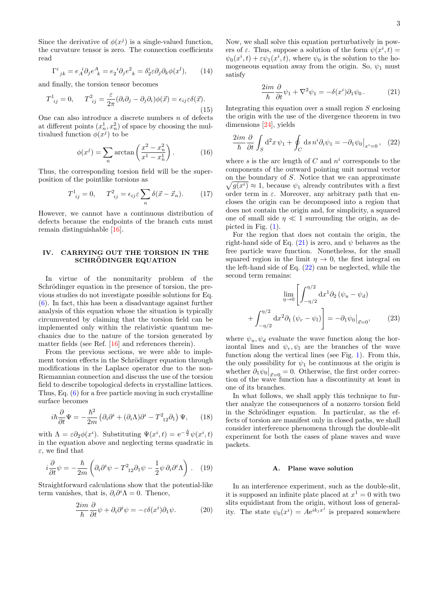Since the derivative of  $\phi(x^j)$  is a single-valued function, the curvature tensor is zero. The connection coefficients read

$$
\Gamma^{i}{}_{jk} = e_{A}{}^{i} \partial_{j} e^{A}{}_{k} = e_{2}{}^{i} \partial_{j} e^{2}{}_{k} = \delta^{i}_{2} \varepsilon \partial_{j} \partial_{k} \phi(x^{l}), \qquad (14)
$$

and finally, the torsion tensor becomes

$$
T^{1}_{\ ij} = 0, \qquad T^{2}_{\ ij} = \frac{\varepsilon}{2\pi} (\partial_{i}\partial_{j} - \partial_{j}\partial_{i})\phi(\vec{x}) = \epsilon_{ij}\varepsilon\delta(\vec{x}).
$$
\n(15)

One can also introduce a discrete numbers  $n$  of defects at different points  $(x_n^1, x_n^2)$  of space by choosing the multivalued function  $\phi(x^j)$  to be

<span id="page-2-3"></span>
$$
\phi(x^j) = \sum_n \arctan\left(\frac{x^2 - x_n^2}{x^1 - x_n^1}\right). \tag{16}
$$

Thus, the corresponding torsion field will be the superposition of the pointlike torsions as

$$
T^{1}_{ij} = 0, \quad T^{2}_{ij} = \epsilon_{ij} \varepsilon \sum_{n} \delta(\vec{x} - \vec{x}_n). \tag{17}
$$

However, we cannot have a continuous distribution of defects because the endpoints of the branch cuts must remain distinguishable [\[16\]](#page-7-12).

# IV. CARRYING OUT THE TORSION IN THE SCHRÖDINGER EQUATION

In virtue of the nonunitarity problem of the Schrödinger equation in the presence of torsion, the previous studies do not investigate possible solutions for Eq. [\(6\)](#page-1-0). In fact, this has been a disadvantage against further analysis of this equation whose the situation is typically circumvented by claiming that the torsion field can be implemented only within the relativistic quantum mechanics due to the nature of the torsion generated by matter fields (see Ref. [\[16\]](#page-7-12) and references therein).

From the previous sections, we were able to implement torsion effects in the Schrödinger equation through modifications in the Laplace operator due to the non-Riemannian connection and discuss the use of the torsion field to describe topological defects in crystalline lattices. Thus, Eq. [\(6\)](#page-1-0) for a free particle moving in such crystalline surface becomes

$$
i\hbar \frac{\partial}{\partial t} \Psi = -\frac{\hbar^2}{2m} \left( \partial_i \partial^i + (\partial_i \Lambda) \partial^i - T^2_{12} \partial_1 \right) \Psi, \qquad (18)
$$

with  $\Lambda = \varepsilon \partial_2 \phi(x^i)$ . Substituting  $\Psi(x^i, t) = e^{-\frac{\Lambda}{2}} \psi(x^i, t)$ in the equation above and neglecting terms quadratic in  $\varepsilon$ , we find that

$$
i\frac{\partial}{\partial t}\psi = -\frac{\hbar}{2m}\left(\partial_i\partial^i\psi - T^2_{12}\partial_1\psi - \frac{1}{2}\psi\,\partial_i\partial^i\Lambda\right). \tag{19}
$$

Straightforward calculations show that the potential-like term vanishes, that is,  $\partial_i \partial^i \Lambda = 0$ . Thence,

$$
\frac{2im}{\hbar} \frac{\partial}{\partial t} \psi + \partial_i \partial^i \psi = -\varepsilon \delta(x^i) \partial_1 \psi.
$$
 (20)

Now, we shall solve this equation perturbatively in powers of  $\varepsilon$ . Thus, suppose a solution of the form  $\psi(x^i, t) =$  $\psi_0(x^i, t) + \varepsilon \psi_1(x^i, t)$ , where  $\psi_0$  is the solution to the homogeneous equation away from the origin. So,  $\psi_1$  must satisfy

<span id="page-2-1"></span><span id="page-2-0"></span>
$$
\frac{2im}{\hbar} \frac{\partial}{\partial t} \psi_1 + \nabla^2 \psi_1 = -\delta(x^i)\partial_1 \psi_0.
$$
 (21)

Integrating this equation over a small region S enclosing the origin with the use of the divergence theorem in two dimensions [\[24\]](#page-7-17), yields

$$
\frac{2im}{\hbar} \frac{\partial}{\partial t} \int_{S} d^{2}x \psi_{1} + \oint_{C} ds \, n^{i} \partial_{i} \psi_{1} = -\partial_{1} \psi_{0} \big|_{x^{i}=0}, \quad (22)
$$

where s is the arc length of  $C$  and  $n^i$  corresponds to the components of the outward pointing unit normal vector on the boundary of S. Notice that we can approximate  $\sqrt{g(x^i)} \approx 1$ , because  $\psi_1$  already contributes with a first order term in  $\varepsilon$ . Moreover, any arbitrary path that encloses the origin can be decomposed into a region that does not contain the origin and, for simplicity, a squared one of small side  $\eta \ll 1$  surrounding the origin, as depicted in Fig. [\(1\)](#page-3-0).

For the region that does not contain the origin, the right-hand side of Eq.  $(21)$  is zero, and  $\psi$  behaves as the free particle wave function. Nonetheless, for the small squared region in the limit  $\eta \to 0$ , the first integral on the left-hand side of Eq. [\(22\)](#page-2-1) can be neglected, while the second term remains:

<span id="page-2-2"></span>
$$
\lim_{\eta \to 0} \left[ \int_{-\eta/2}^{\eta/2} dx^1 \partial_2 \left( \psi_u - \psi_d \right) \right]
$$

$$
+ \int_{-\eta/2}^{\eta/2} dx^2 \partial_1 \left( \psi_r - \psi_l \right) \right] = -\partial_1 \psi_0 \big|_{\vec{x}=0}, \qquad (23)
$$

where  $\psi_u, \psi_d$  evaluate the wave function along the horizontal lines and  $\psi_r, \psi_l$  are the branches of the wave function along the vertical lines (see Fig. [1\)](#page-3-0). From this, the only possibility for  $\psi_1$  be continuous at the origin is whether  $\partial_1 \psi_0|_{\vec{x}=0} = 0$ . Otherwise, the first order correction of the wave function has a discontinuity at least in one of its branches.

In what follows, we shall apply this technique to further analyze the consequences of a nonzero torsion field in the Schrödinger equation. In particular, as the effects of torsion are manifest only in closed paths, we shall consider interference phenomena through the double-slit experiment for both the cases of plane waves and wave packets.

### A. Plane wave solution

<span id="page-2-4"></span>In an interference experiment, such as the double-slit, it is supposed an infinite plate placed at  $x^1 = 0$  with two slits equidistant from the origin, without loss of generality. The state  $\psi_0(x^i) = Ae^{i\vec{k}_jx^j}$  is prepared somewhere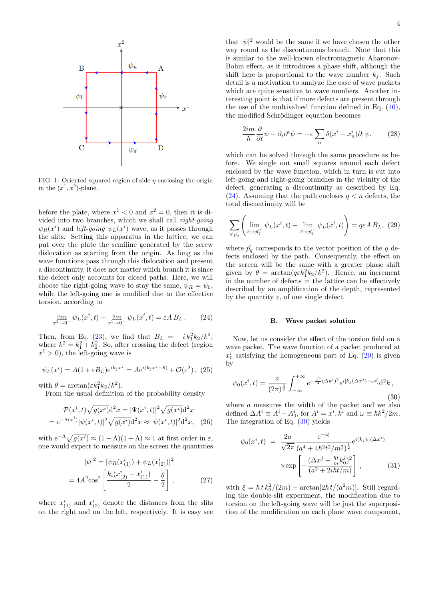

<span id="page-3-0"></span>FIG. 1: Oriented squared region of side  $\eta$  enclosing the origin in the  $(x^1, x^2)$ -plane.

before the plate, where  $x^1 < 0$  and  $x^2 = 0$ , then it is divided into two branches, which we shall call right-going  $\psi_R(x^i)$  and *left-going*  $\psi_L(x^i)$  wave, as it passes through the slits. Setting this apparatus in the lattice, we can put over the plate the semiline generated by the screw dislocation as starting from the origin. As long as the wave functions pass through this dislocation and present a discontinuity, it does not matter which branch it is since the defect only accounts for closed paths. Here, we will choose the right-going wave to stay the same,  $\psi_B = \psi_0$ , while the left-going one is modified due to the effective torsion, according to

<span id="page-3-1"></span>
$$
\lim_{x^1 \to 0^+} \psi_L(x^i, t) - \lim_{x^1 \to 0^-} \psi_L(x^i, t) = \varepsilon A B_L. \tag{24}
$$

Then, from Eq. [\(23\)](#page-2-2), we find that  $B_L = -i k_1^2 k_2 / k^2$ , where  $k^2 = k_1^2 + k_2^2$ . So, after crossing the defect (region  $x^1 > 0$ , the left-going wave is

$$
\psi_L(x^i) = A(1 + \varepsilon B_L) e^{ik_j x^j} = A e^{i(k_j x^j - \theta)} + \mathcal{O}(\varepsilon^2), \tag{25}
$$

with  $\theta = \arctan(\varepsilon k_1^2 k_2 / k^2)$ .

From the usual definition of the probability density

$$
\mathcal{P}(x^{i}, t)\sqrt{g(x^{i})}\mathrm{d}^{2}x = |\Psi(x^{i}, t)|^{2}\sqrt{g(x^{i})}\mathrm{d}^{2}x
$$

$$
= \mathrm{e}^{-\Lambda(x^{i})}|\psi(x^{i}, t)|^{2}\sqrt{g(x^{i})}\mathrm{d}^{2}x \approx |\psi(x^{i}, t)|^{2}\mathrm{d}^{2}x, \quad (26)
$$

with  $e^{-\Lambda}\sqrt{g(x^i)} \approx (1-\Lambda)(1+\Lambda) \approx 1$  at first order in  $\varepsilon$ , one would expect to measure on the screen the quantities

$$
|\psi|^2 = |\psi_R(x_{(1)}^i) + \psi_L(x_{(2)}^i)|^2
$$
  
=  $4A^2 \cos^2 \left[ \frac{k_i(x_{(2)}^i - x_{(1)}^i)}{2} - \frac{\theta}{2} \right],$  (27)

where  $x_{(1)}^i$  and  $x_{(2)}^i$  denote the distances from the slits on the right and on the left, respectively. It is easy see

that  $|\psi|^2$  would be the same if we have chosen the other way round as the discontinuous branch. Note that this is similar to the well-known electromagnetic Aharonov-Bohm effect, as it introduces a phase shift, although the shift here is proportional to the wave number  $k_i$ . Such detail is a motivation to analyze the case of wave packets which are quite sensitive to wave numbers. Another interesting point is that if more defects are present through the use of the multivalued function defined in Eq.  $(16)$ , the modified Schrödinger equation becomes

$$
\frac{2im}{\hbar}\frac{\partial}{\partial t}\psi + \partial_i\partial^i\psi = -\varepsilon \sum_n \delta(x^i - x_n^i)\partial_1\psi,\qquad(28)
$$

which can be solved through the same procedure as before. We single out small squares around each defect enclosed by the wave function, which in turn is cut into left-going and right-going branches in the vicinity of the defect, generating a discontinuity as described by Eq. [\(24\)](#page-3-1). Assuming that the path encloses  $q < n$  defects, the total discontinuity will be

$$
\sum_{\forall \vec{p}_q} \left( \lim_{\vec{x} \to \vec{p}_q^+} \psi_L(x^i, t) - \lim_{\vec{x} \to \vec{p}_q^-} \psi_L(x^i, t) \right) = q \varepsilon A B_L, \tag{29}
$$

where  $\vec{p}_q$  corresponds to the vector position of the q defects enclosed by the path. Consequently, the effect on the screen will be the same with a greater phase shift given by  $\theta = \arctan(q \varepsilon k_1^2 k_2 / k^2)$ . Hence, an increment in the number of defects in the lattice can be effectively described by an amplification of the depth, represented by the quantity  $\varepsilon$ , of one single defect.

### B. Wave packet solution

Now, let us consider the effect of the torsion field on a wave packet. The wave function of a packet produced at  $x_0^i$  satisfying the homogeneous part of Eq. [\(20\)](#page-2-4) is given by

<span id="page-3-2"></span>
$$
\psi_0(x^i, t) = \frac{a}{(2\pi)^{\frac{3}{2}}} \int_{-\infty}^{+\infty} e^{-\frac{a^2}{4}(\Delta k^i)^2} e^{i[k_j(\Delta x^j) - \omega t]} d^2k,
$$
\n(30)

where a measures the width of the packet and we also defined  $\Delta A^i \equiv A^i - A_0^i$ , for  $A^i = x^i, \overline{k}^i$  and  $\omega \equiv \hbar k^2 / 2m$ . The integration of Eq. [\(30\)](#page-3-2) yields

<span id="page-3-3"></span>
$$
\psi_0(x^i, t) = \frac{2a}{\sqrt{2\pi}} \frac{e^{-i\xi}}{(a^4 + 4\hbar^2 t^2/m^2)^{\frac{1}{2}}} e^{i(k_j)_0(\Delta x^j)} \times \exp\left[ -\frac{(\Delta x^j - \frac{\hbar t}{m} k_0^j)^2}{(a^2 + 2i\hbar t/m)} \right],
$$
\n(31)

with  $\xi = \hbar t k_0^2/(2m) + \arctan[2\hbar t/(a^2m)]$ . Still regarding the double-slit experiment, the modification due to torsion on the left-going wave will be just the superposition of the modification on each plane wave component,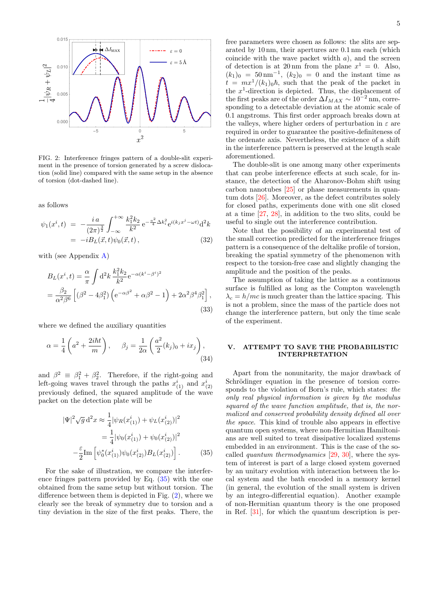

<span id="page-4-1"></span>FIG. 2: Interference fringes pattern of a double-slit experiment in the presence of torsion generated by a screw dislocation (solid line) compared with the same setup in the absence of torsion (dot-dashed line).

as follows

<span id="page-4-2"></span>
$$
\psi_1(x^i, t) = -\frac{i a}{(2\pi)^{\frac{3}{2}}} \int_{-\infty}^{+\infty} \frac{k_1^2 k_2}{k^2} e^{-\frac{a^2}{4} \Delta k_i^2} e^{i(k_j x^j - \omega t)} d^2 k \n= -i B_L(\vec{x}, t) \psi_0(\vec{x}, t) ,
$$
\n(32)

with (see Appendix [A\)](#page-6-0)

<span id="page-4-3"></span>
$$
B_L(x^i, t) = \frac{\alpha}{\pi} \int d^2k \frac{k_1^2 k_2}{k^2} e^{-\alpha (k^i - \beta^i)^2}
$$
  
=  $\frac{\beta_2}{\alpha^2 \beta^6} \left[ (\beta^2 - 4\beta_1^2) \left( e^{-\alpha \beta^2} + \alpha \beta^2 - 1 \right) + 2\alpha^2 \beta^4 \beta_1^2 \right],$  (33)

where we defined the auxiliary quantities

$$
\alpha = \frac{1}{4} \left( a^2 + \frac{2i\hbar t}{m} \right), \qquad \beta_j = \frac{1}{2\alpha} \left( \frac{a^2}{2} (k_j)_0 + ix_j \right), \tag{34}
$$

and  $\beta^2 \equiv \beta_1^2 + \beta_2^2$ . Therefore, if the right-going and left-going waves travel through the paths  $x_{(1)}^i$  and  $x_{(2)}^i$ previously defined, the squared amplitude of the wave packet on the detection plate will be

<span id="page-4-0"></span>
$$
|\Psi|^2 \sqrt{g} d^2 x \approx \frac{1}{4} |\psi_R(x_{(1)}^i) + \psi_L(x_{(2)}^i)|^2
$$
  

$$
= \frac{1}{4} |\psi_0(x_{(1)}^i) + \psi_0(x_{(2)}^i)|^2
$$
  

$$
- \frac{\varepsilon}{2} \text{Im} \left[ \psi_0^*(x_{(1)}^i) \psi_0(x_{(2)}^i) B_L(x_{(2)}^i) \right].
$$
 (35)

For the sake of illustration, we compare the interference fringes pattern provided by Eq. [\(35\)](#page-4-0) with the one obtained from the same setup but without torsion. The difference between them is depicted in Fig. [\(2\)](#page-4-1), where we clearly see the break of symmetry due to torsion and a tiny deviation in the size of the first peaks. There, the free parameters were chosen as follows: the slits are separated by 10 nm, their apertures are 0.1 nm each (which coincide with the wave packet width  $a$ ), and the screen of detection is at 20 nm from the plane  $x^1 = 0$ . Also,  $(k_1)_0 = 50 \text{ nm}^{-1}$ ,  $(k_2)_0 = 0$  and the instant time as  $t = mx^1/(k_1)_0\hbar$ , such that the peak of the packet in the  $x^1$ -direction is depicted. Thus, the displacement of the first peaks are of the order  $\Delta I_{MAX} \sim 10^{-2}$  nm, corresponding to a detectable deviation at the atomic scale of 0.1 angstroms. This first order approach breaks down at the valleys, where higher orders of perturbation in  $\varepsilon$  are required in order to guarantee the positive-definiteness of the ordenate axis. Nevertheless, the existence of a shift in the interference pattern is preserved at the length scale aforementioned.

The double-slit is one among many other experiments that can probe interference effects at such scale, for instance, the detection of the Aharonov-Bohm shift using carbon nanotubes [\[25\]](#page-7-18) or phase measurements in quantum dots [\[26\]](#page-7-19). Moreover, as the defect contributes solely for closed paths, experiments done with one slit closed at a time [\[27,](#page-7-20) [28\]](#page-7-21), in addition to the two slits, could be useful to single out the interference contribution.

Note that the possibility of an experimental test of the small correction predicted for the interference fringes pattern is a consequence of the deltalike profile of torsion, breaking the spatial symmetry of the phenomenon with respect to the torsion-free case and slightly changing the amplitude and the position of the peaks.

The assumption of taking the lattice as a continuous surface is fulfilled as long as the Compton wavelength  $\lambda_c = h/mc$  is much greater than the lattice spacing. This is not a problem, since the mass of the particle does not change the interference pattern, but only the time scale of the experiment.

# V. ATTEMPT TO SAVE THE PROBABILISTIC INTERPRETATION

Apart from the nonunitarity, the major drawback of Schrödinger equation in the presence of torsion corresponds to the violation of Born's rule, which states: the only real physical information is given by the modulus squared of the wave function amplitude, that is, the normalized and conserved probability density defined all over the space. This kind of trouble also appears in effective quantum open systems, where non-Hermitian Hamiltonians are well suited to treat dissipative localized systems embedded in an environment. This is the case of the socalled *quantum thermodynamics*  $[29, 30]$  $[29, 30]$  $[29, 30]$ , where the system of interest is part of a large closed system governed by an unitary evolution with interaction between the local system and the bath encoded in a memory kernel (in general, the evolution of the small system is driven by an integro-differential equation). Another example of non-Hermitian quantum theory is the one proposed in Ref. [\[31\]](#page-7-24), for which the quantum description is per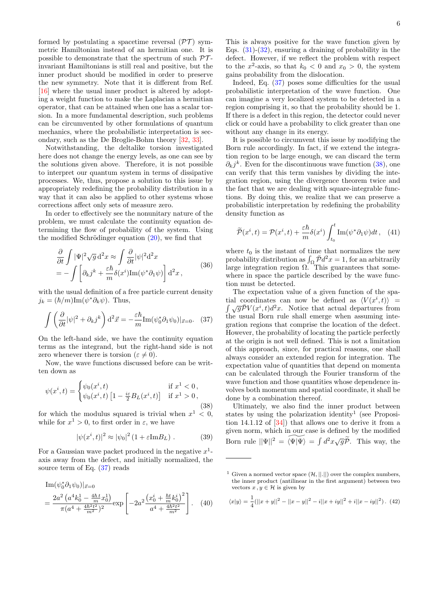formed by postulating a spacetime reversal  $(\mathcal{PT})$  symmetric Hamiltonian instead of an hermitian one. It is possible to demonstrate that the spectrum of such  $\mathcal{PT}$ invariant Hamiltonians is still real and positive, but the inner product should be modified in order to preserve the new symmetry. Note that it is different from Ref. [\[16\]](#page-7-12) where the usual inner product is altered by adopting a weight function to make the Laplacian a hermitian operator, that can be attained when one has a scalar torsion. In a more fundamental description, such problems can be circumvented by other formulations of quantum mechanics, where the probabilistic interpretation is secondary, such as the De Broglie-Bohm theory [\[32,](#page-7-25) [33\]](#page-7-26).

Notwithstanding, the deltalike torsion investigated here does not change the energy levels, as one can see by the solutions given above. Therefore, it is not possible to interpret our quantum system in terms of dissipative processes. We, thus, propose a solution to this issue by appropriately redefining the probability distribution in a way that it can also be applied to other systems whose corrections affect only sets of measure zero.

In order to effectively see the nonunitary nature of the problem, we must calculate the continuity equation determining the flow of probability of the system. Using the modified Schrödinger equation  $(20)$ , we find that

<span id="page-5-0"></span>
$$
\frac{\partial}{\partial t} \int |\Psi|^2 \sqrt{g} \, d^2 x \approx \int \frac{\partial}{\partial t} |\psi|^2 d^2 x \n= - \int \left[ \partial_k j^k + \frac{\varepsilon \hbar}{m} \delta(x^i) \text{Im}(\psi^* \partial_1 \psi) \right] d^2 x,
$$
\n(36)

with the usual definition of a free particle current density  $j_k = (\hbar/m)\text{Im}(\psi^*\partial_k\psi)$ . Thus,

$$
\int \left(\frac{\partial}{\partial t}|\psi|^2 + \partial_k j^k\right) d^2\vec{x} = -\frac{\varepsilon \hbar}{m} \text{Im}(\psi_0^* \partial_1 \psi_0)|_{\vec{x}=0}.
$$
 (37)

On the left-hand side, we have the continuity equation terms as the integrand, but the right-hand side is not zero whenever there is torsion ( $\varepsilon \neq 0$ ).

Now, the wave functions discussed before can be written down as

<span id="page-5-1"></span>
$$
\psi(x^{i}, t) = \begin{cases} \psi_{0}(x^{i}, t) & \text{if } x^{1} < 0, \\ \psi_{0}(x^{i}, t) \left[1 - \frac{i\varepsilon}{2} B_{L}(x^{i}, t)\right] & \text{if } x^{1} > 0, \end{cases}
$$
\n(38)

for which the modulus squared is trivial when  $x^1 < 0$ , while for  $x^1 > 0$ , to first order in  $\varepsilon$ , we have

$$
|\psi(x^i, t)|^2 \approx |\psi_0|^2 (1 + \varepsilon \text{Im} B_L) . \tag{39}
$$

For a Gaussian wave packet produced in the negative  $x^1$ axis away from the defect, and initially normalized, the source term of Eq. [\(37\)](#page-5-0) reads

$$
\begin{split} \text{Im}(\psi_0^* \partial_1 \psi_0)|_{\vec{x}=0} \\ &= \frac{2a^2 \left( a^4 k_0^1 - \frac{4\hbar \, t}{m} x_0^1 \right)}{\pi (a^4 + \frac{4\hbar^2 t^2}{m^2})^2} \exp\left[ -2a^2 \frac{\left( x_0^i + \frac{\hbar t}{m} k_0^i \right)^2}{a^4 + \frac{4\hbar^2 t^2}{m^2}} \right]. \end{split} \tag{40}
$$

This is always positive for the wave function given by Eqs.  $(31)-(32)$  $(31)-(32)$ , ensuring a draining of probability in the defect. However, if we reflect the problem with respect to the  $x^2$ -axis, so that  $k_0 < 0$  and  $x_0 > 0$ , the system gains probability from the dislocation.

Indeed, Eq. [\(37\)](#page-5-0) poses some difficulties for the usual probabilistic interpretation of the wave function. One can imagine a very localized system to be detected in a region comprising it, so that the probability should be 1. If there is a defect in this region, the detector could never click or could have a probability to click greater than one without any change in its energy.

It is possible to circumvent this issue by modifying the Born rule accordingly. In fact, if we extend the integration region to be large enough, we can discard the term  $\partial_k j^k$ . Even for the discontinuous wave function [\(38\)](#page-5-1), one can verify that this term vanishes by dividing the integration region, using the divergence theorem twice and the fact that we are dealing with square-integrable functions. By doing this, we realize that we can preserve a probabilistic interpretation by redefining the probability density function as

$$
\widetilde{\mathcal{P}}(x^i, t) = \mathcal{P}(x^i, t) + \frac{\varepsilon \hbar}{m} \delta(x^i) \int_{t_0}^t \text{Im}(\psi^* \partial_1 \psi) dt, \quad (41)
$$

where  $t_0$  is the instant of time that normalizes the new probability distribution as  $\int_{\Omega} \bar{\mathcal{P}} d^2 x = 1$ , for an arbitrarily large integration region  $\Omega$ . This guarantees that somewhere in space the particle described by the wave function must be detected.

The expectation value of a given function of the spatial coordinates can now be defined as  $\langle V(x^i) \rangle$ tial coordinates can now be defined as  $\langle V(x^i, t) \rangle$  =  $\int \sqrt{g} \overline{P} V(x^i, t) d^2 x$ . Notice that actual departures from the usual Born rule shall emerge when assuming integration regions that comprise the location of the defect. However, the probability of locating the particle perfectly at the origin is not well defined. This is not a limitation of this approach, since, for practical reasons, one shall always consider an extended region for integration. The expectation value of quantities that depend on momenta can be calculated through the Fourier transform of the wave function and those quantities whose dependence involves both momentum and spatial coordinate, it shall be done by a combination thereof.

Ultimately, we also find the inner product between states by using the polarization identity<sup>1</sup> (see Proposition 14.1.12 of [\[34\]](#page-7-27)) that allows one to derive it from a given norm, which in our case is defined by the modified Born rule  $||\Psi||^2 = \widetilde{\langle \Psi | \Psi \rangle} = \int d^2x \sqrt{g}\widetilde{\mathcal{P}}$ . This way, the

$$
\langle x|y\rangle = \frac{1}{4}(||x+y||^2 - ||x-y||^2 - i||x+iy||^2 + i||x-iy||^2).
$$
 (42)

<sup>&</sup>lt;sup>1</sup> Given a normed vector space  $(H, ||.||)$  over the complex numbers, the inner product (antilinear in the first argument) between two vectors  $x, y \in \mathcal{H}$  is given by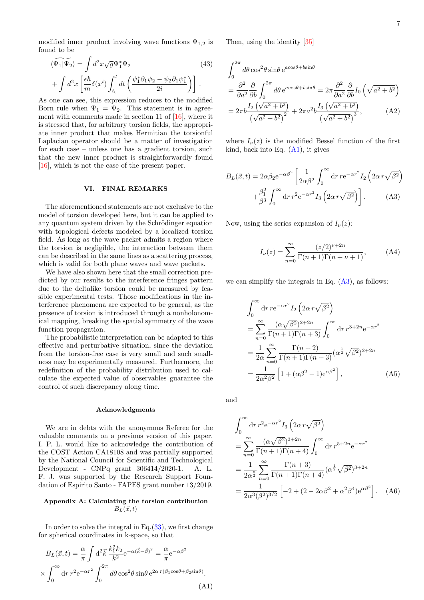modified inner product involving wave functions  $\Psi_{1,2}$  is found to be

$$
\begin{aligned} \langle \widetilde{\Psi_1 | \Psi_2} \rangle &= \int d^2 x \sqrt{g} \Psi_1^* \Psi_2 \end{aligned} \tag{43}
$$
\n
$$
+ \int d^2 x \left[ \frac{\epsilon \hbar}{m} \delta(x^i) \int_{t_0}^t dt \left( \frac{\psi_1^* \partial_1 \psi_2 - \psi_2 \partial_1 \psi_1^*}{2i} \right) \right] \, .
$$

As one can see, this expression reduces to the modified Born rule when  $\Psi_1 = \Psi_2$ . This statement is in agreement with comments made in section 11 of  $[16]$ , where it is stressed that, for arbitrary torsion fields, the appropriate inner product that makes Hermitian the torsionful Laplacian operator should be a matter of investigation for each case – unless one has a gradient torsion, such that the new inner product is straightforwardly found [\[16\]](#page-7-12), which is not the case of the present paper.

## VI. FINAL REMARKS

The aforementioned statements are not exclusive to the model of torsion developed here, but it can be applied to any quantum system driven by the Schrödinger equation with topological defects modeled by a localized torsion field. As long as the wave packet admits a region where the torsion is negligible, the interaction between them can be described in the same lines as a scattering process, which is valid for both plane waves and wave packets.

We have also shown here that the small correction predicted by our results to the interference fringes pattern due to the deltalike torsion could be measured by feasible experimental tests. Those modifications in the interference phenomena are expected to be general, as the presence of torsion is introduced through a nonholonomical mapping, breaking the spatial symmetry of the wave function propagation.

The probabilistic interpretation can be adapted to this effective and perturbative situation, since the deviation from the torsion-free case is very small and such smallness may be experimentally measured. Furthermore, the redefinition of the probability distribution used to calculate the expected value of observables guarantee the control of such discrepancy along time.

### Acknowledgments

We are in debts with the anonymous Referee for the valuable comments on a previous version of this paper. I. P. L. would like to acknowledge the contribution of the COST Action CA18108 and was partially supported by the National Council for Scientific and Technological Development - CNPq grant 306414/2020-1. A. L. F. J. was supported by the Research Support Foundation of Espírito Santo - FAPES grant number 13/2019.

# <span id="page-6-0"></span>Appendix A: Calculating the torsion contribution  $B_L(\vec{x}, t)$

In order to solve the integral in Eq. $(33)$ , we first change for spherical coordinates in k-space, so that

<span id="page-6-1"></span>2

$$
B_L(\vec{x},t) = \frac{\alpha}{\pi} \int d^2 \vec{k} \frac{k_1^2 k_2}{k^2} e^{-\alpha(\vec{k}-\vec{\beta})^2} = \frac{\alpha}{\pi} e^{-\alpha\beta^2}
$$

$$
\times \int_0^\infty dr \, r^2 e^{-\alpha r^2} \int_0^{2\pi} d\theta \cos^2\theta \sin\theta \, e^{2\alpha \, r(\beta_1 \cos\theta + \beta_2 \sin\theta)}.
$$
(A)

Then, using the identity [\[35\]](#page-7-28)

$$
\int_0^{2\pi} d\theta \cos^2 \theta \sin \theta e^{a\cos\theta + b\sin\theta}
$$
\n
$$
= \frac{\partial^2}{\partial a^2} \frac{\partial}{\partial b} \int_0^{2\pi} d\theta e^{a\cos\theta + b\sin\theta} = 2\pi \frac{\partial^2}{\partial a^2} \frac{\partial}{\partial b} I_0 \left( \sqrt{a^2 + b^2} \right)
$$
\n
$$
= 2\pi b \frac{I_2 \left( \sqrt{a^2 + b^2} \right)}{\left( \sqrt{a^2 + b^2} \right)^2} + 2\pi a^2 b \frac{I_3 \left( \sqrt{a^2 + b^2} \right)}{\left( \sqrt{a^2 + b^2} \right)^3}, \tag{A2}
$$

where  $I_{\nu}(z)$  is the modified Bessel function of the first kind, back into Eq.  $(A1)$ , it gives

$$
B_L(\vec{x}, t) = 2\alpha \beta_2 e^{-\alpha \beta^2} \left[ \frac{1}{2\alpha \beta^2} \int_0^\infty dr \, r e^{-\alpha r^2} I_2 \left( 2\alpha \, r \sqrt{\beta^2} \right) + \frac{\beta_1^2}{\beta^3} \int_0^\infty dr \, r^2 e^{-\alpha r^2} I_3 \left( 2\alpha \, r \sqrt{\beta^2} \right) \right]. \tag{A3}
$$

Now, using the series expansion of  $I_{\nu}(z)$ :

<span id="page-6-2"></span>
$$
I_{\nu}(z) = \sum_{n=0}^{\infty} \frac{(z/2)^{\nu+2n}}{\Gamma(n+1)\Gamma(n+\nu+1)},
$$
 (A4)

we can simplify the integrals in Eq.  $(A3)$ , as follows:

$$
\int_0^\infty dr \, r e^{-\alpha r^2} I_2 \left( 2\alpha \, r \sqrt{\beta^2} \right)
$$
  
= 
$$
\sum_{n=0}^\infty \frac{(\alpha \sqrt{\beta^2})^{2+2n}}{\Gamma(n+1)\Gamma(n+3)} \int_0^\infty dr \, r^{3+2n} e^{-\alpha r^2}
$$
  
= 
$$
\frac{1}{2\alpha} \sum_{n=0}^\infty \frac{\Gamma(n+2)}{\Gamma(n+1)\Gamma(n+3)} (\alpha^{\frac{1}{2}} \sqrt{\beta^2})^{2+2n}
$$
  
= 
$$
\frac{1}{2\alpha^2 \beta^2} \left[ 1 + (\alpha \beta^2 - 1) e^{\alpha \beta^2} \right],
$$
 (A5)

and

$$
\int_0^{\infty} dr \, r^2 e^{-\alpha r^2} I_3 \left( 2\alpha \, r \sqrt{\beta^2} \right)
$$
  
= 
$$
\sum_{n=0}^{\infty} \frac{(\alpha \sqrt{\beta^2})^{3+2n}}{\Gamma(n+1)\Gamma(n+4)} \int_0^{\infty} dr \, r^{5+2n} e^{-\alpha r^2}
$$
  
= 
$$
\frac{1}{2\alpha^{\frac{3}{2}}} \sum_{n=0}^{\infty} \frac{\Gamma(n+3)}{\Gamma(n+1)\Gamma(n+4)} (\alpha^{\frac{1}{2}} \sqrt{\beta^2})^{3+2n}
$$
  
= 
$$
\frac{1}{2\alpha^3 (\beta^2)^{3/2}} \left[ -2 + (2 - 2\alpha \beta^2 + \alpha^2 \beta^4) e^{\alpha \beta^2} \right].
$$
 (A6)